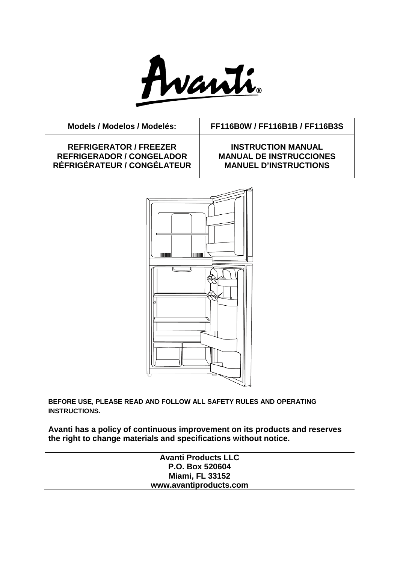

**REFRIGERATOR / FREEZER REFRIGERADOR / CONGELADOR RÉFRIGÉRATEUR / CONGÉLATEUR**

**Models / Modelos / Modelés: FF116B0W / FF116B1B / FF116B3S**

## **INSTRUCTION MANUAL MANUAL DE INSTRUCCIONES MANUEL D'INSTRUCTIONS**



**BEFORE USE, PLEASE READ AND FOLLOW ALL SAFETY RULES AND OPERATING INSTRUCTIONS.**

**Avanti has a policy of continuous improvement on its products and reserves the right to change materials and specifications without notice.**

| <b>Avanti Products LLC</b> |  |
|----------------------------|--|
| P.O. Box 520604            |  |
| <b>Miami, FL 33152</b>     |  |
| www.avantiproducts.com     |  |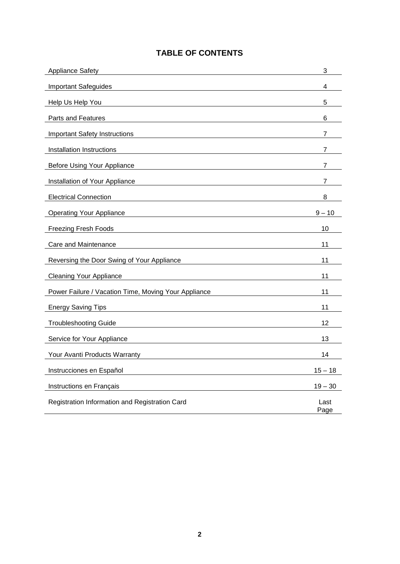# **TABLE OF CONTENTS**

| <b>Appliance Safety</b>                              | 3            |
|------------------------------------------------------|--------------|
| <b>Important Safeguides</b>                          | 4            |
| Help Us Help You                                     | 5            |
| Parts and Features                                   | 6            |
| <b>Important Safety Instructions</b>                 | 7            |
| Installation Instructions                            | 7            |
| <b>Before Using Your Appliance</b>                   | 7            |
| Installation of Your Appliance                       | 7            |
| <b>Electrical Connection</b>                         | 8            |
| <b>Operating Your Appliance</b>                      | $9 - 10$     |
| <b>Freezing Fresh Foods</b>                          | 10           |
| Care and Maintenance                                 | 11           |
| Reversing the Door Swing of Your Appliance           | 11           |
| <b>Cleaning Your Appliance</b>                       | 11           |
| Power Failure / Vacation Time, Moving Your Appliance | 11           |
| <b>Energy Saving Tips</b>                            | 11           |
| <b>Troubleshooting Guide</b>                         | 12           |
| Service for Your Appliance                           | 13           |
| Your Avanti Products Warranty                        | 14           |
| Instrucciones en Español                             | $15 - 18$    |
| Instructions en Français                             | $19 - 30$    |
| Registration Information and Registration Card       | Last<br>Page |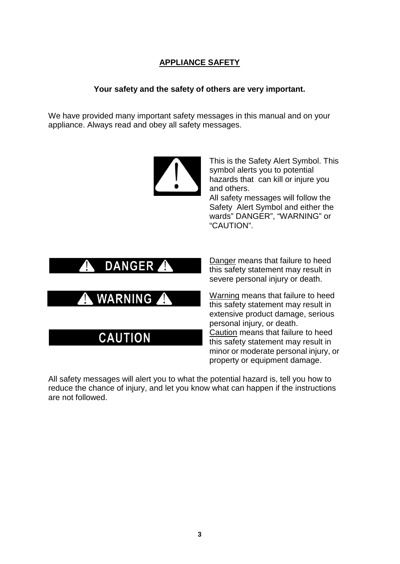# **APPLIANCE SAFETY**

## **Your safety and the safety of others are very important.**

We have provided many important safety messages in this manual and on your appliance. Always read and obey all safety messages.



This is the Safety Alert Symbol. This symbol alerts you to potential hazards that can kill or injure you and others.

All safety messages will follow the Safety Alert Symbol and either the wards" DANGER", "WARNING" or "CAUTION".



**CAUTION** 

Danger means that failure to heed this safety statement may result in severe personal injury or death.

Warning means that failure to heed this safety statement may result in extensive product damage, serious personal injury, or death. Caution means that failure to heed this safety statement may result in minor or moderate personal injury, or property or equipment damage.

All safety messages will alert you to what the potential hazard is, tell you how to reduce the chance of injury, and let you know what can happen if the instructions are not followed.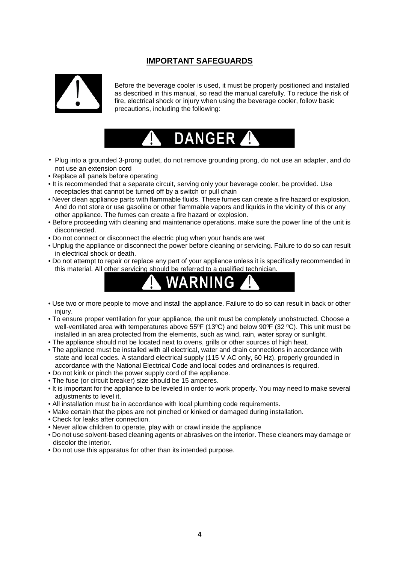# **IMPORTANT SAFEGUARDS**



Before the beverage cooler is used, it must be properly positioned and installed as described in this manual, so read the manual carefully. To reduce the risk of fire, electrical shock or injury when using the beverage cooler, follow basic precautions, including the following:



- Plug into a grounded 3-prong outlet, do not remove grounding prong, do not use an adapter, and do not use an extension cord
- Replace all panels before operating
- It is recommended that a separate circuit, serving only your beverage cooler, be provided. Use receptacles that cannot be turned off by a switch or pull chain
- Never clean appliance parts with flammable fluids. These fumes can create a fire hazard or explosion. And do not store or use gasoline or other flammable vapors and liquids in the vicinity of this or any other appliance. The fumes can create a fire hazard or explosion.
- Before proceeding with cleaning and maintenance operations, make sure the power line of the unit is disconnected.
- Do not connect or disconnect the electric plug when your hands are wet
- Unplug the appliance or disconnect the power before cleaning or servicing. Failure to do so can result in electrical shock or death.
- Do not attempt to repair or replace any part of your appliance unless it is specifically recommended in this material. All other servicing should be referred to a qualified technician.



- Use two or more people to move and install the appliance. Failure to do so can result in back or other injury.
- To ensure proper ventilation for your appliance, the unit must be completely unobstructed. Choose a well-ventilated area with temperatures above  $55^{\circ}F$  (13<sup>o</sup>C) and below 90<sup>o</sup>F (32<sup>o</sup>C). This unit must be installed in an area protected from the elements, such as wind, rain, water spray or sunlight.
- The appliance should not be located next to ovens, grills or other sources of high heat.
- The appliance must be installed with all electrical, water and drain connections in accordance with state and local codes. A standard electrical supply (115 V AC only, 60 Hz), properly grounded in accordance with the National Electrical Code and local codes and ordinances is required.
- Do not kink or pinch the power supply cord of the appliance.
- The fuse (or circuit breaker) size should be 15 amperes.
- It is important for the appliance to be leveled in order to work properly. You may need to make several adjustments to level it.
- All installation must be in accordance with local plumbing code requirements.
- Make certain that the pipes are not pinched or kinked or damaged during installation.
- Check for leaks after connection.
- Never allow children to operate, play with or crawl inside the appliance
- Do not use solvent-based cleaning agents or abrasives on the interior. These cleaners may damage or discolor the interior.
- Do not use this apparatus for other than its intended purpose.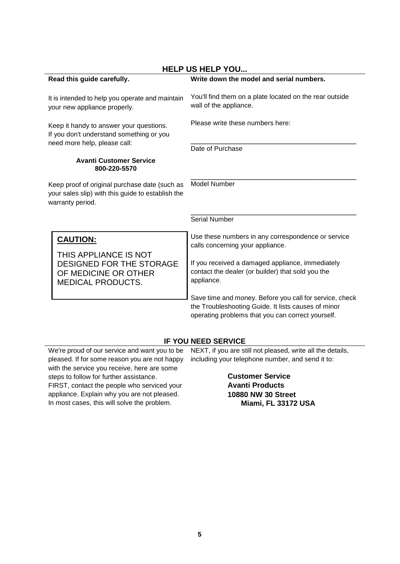| <b>HELP US HELP YOU</b>                                                                                                |                                                                                                                                                                     |  |
|------------------------------------------------------------------------------------------------------------------------|---------------------------------------------------------------------------------------------------------------------------------------------------------------------|--|
| Read this guide carefully.                                                                                             | Write down the model and serial numbers.                                                                                                                            |  |
| It is intended to help you operate and maintain<br>your new appliance properly.                                        | You'll find them on a plate located on the rear outside<br>wall of the appliance.                                                                                   |  |
| Keep it handy to answer your questions.<br>If you don't understand something or you                                    | Please write these numbers here:                                                                                                                                    |  |
| need more help, please call:                                                                                           | Date of Purchase                                                                                                                                                    |  |
| <b>Avanti Customer Service</b><br>800-220-5570                                                                         |                                                                                                                                                                     |  |
| Keep proof of original purchase date (such as<br>your sales slip) with this guide to establish the<br>warranty period. | <b>Model Number</b>                                                                                                                                                 |  |
|                                                                                                                        | <b>Serial Number</b>                                                                                                                                                |  |
| <b>CAUTION:</b>                                                                                                        | Use these numbers in any correspondence or service<br>calls concerning your appliance.                                                                              |  |
| THIS APPLIANCE IS NOT<br>DESIGNED FOR THE STORAGE<br>OF MEDICINE OR OTHER<br><b>MEDICAL PRODUCTS.</b>                  | If you received a damaged appliance, immediately<br>contact the dealer (or builder) that sold you the<br>appliance.                                                 |  |
|                                                                                                                        | Save time and money. Before you call for service, check<br>the Troubleshooting Guide. It lists causes of minor<br>operating problems that you can correct yourself. |  |

## **IF YOU NEED SERVICE**

We're proud of our service and want you to be pleased. If for some reason you are not happy with the service you receive, here are some steps to follow for further assistance. FIRST, contact the people who serviced your

appliance. Explain why you are not pleased. In most cases, this will solve the problem.

NEXT, if you are still not pleased, write all the details, including your telephone number, and send it to:

> **Customer Service Avanti Products 10880 NW 30 Street Miami, FL 33172 USA**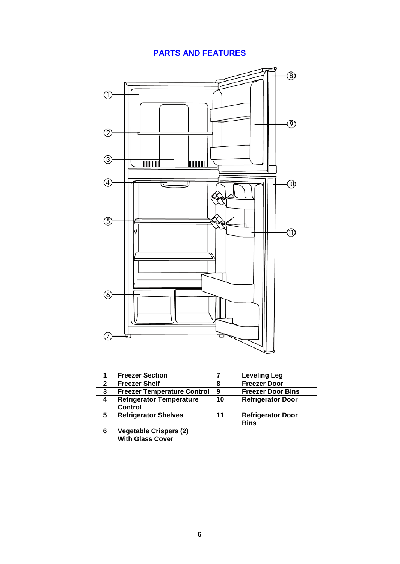# **PARTS AND FEATURES**



|              | <b>Freezer Section</b>                                   |    | <b>Leveling Leg</b>                     |
|--------------|----------------------------------------------------------|----|-----------------------------------------|
| $\mathbf{2}$ | <b>Freezer Shelf</b>                                     | 8  | <b>Freezer Door</b>                     |
| 3            | <b>Freezer Temperature Control</b>                       | 9  | <b>Freezer Door Bins</b>                |
| 4            | <b>Refrigerator Temperature</b><br><b>Control</b>        | 10 | <b>Refrigerator Door</b>                |
| 5            | <b>Refrigerator Shelves</b>                              | 11 | <b>Refrigerator Door</b><br><b>Bins</b> |
| 6            | <b>Vegetable Crispers (2)</b><br><b>With Glass Cover</b> |    |                                         |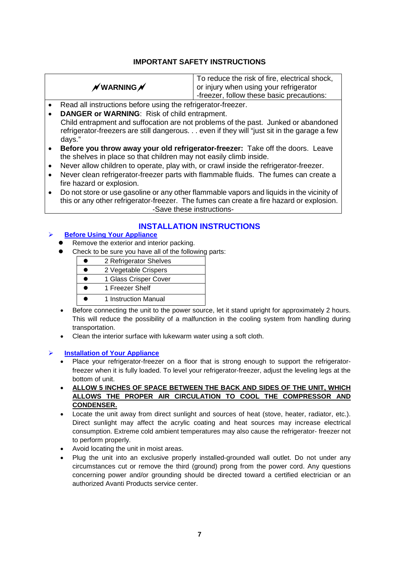## **IMPORTANT SAFETY INSTRUCTIONS**

|                       | To reduce the risk of fire, electrical shock, |
|-----------------------|-----------------------------------------------|
| $\not$ WARNING $\not$ | or injury when using your refrigerator        |
|                       | -freezer, follow these basic precautions:     |

- Read all instructions before using the refrigerator-freezer.
- **DANGER or WARNING**: Risk of child entrapment.

 Child entrapment and suffocation are not problems of the past. Junked or abandoned refrigerator-freezers are still dangerous. . . even if they will "just sit in the garage a few days."

- **Before you throw away your old refrigerator-freezer:** Take off the doors. Leave the shelves in place so that children may not easily climb inside.
- Never allow children to operate, play with, or crawl inside the refrigerator-freezer.
- Never clean refrigerator-freezer parts with flammable fluids. The fumes can create a fire hazard or explosion.
- Do not store or use gasoline or any other flammable vapors and liquids in the vicinity of this or any other refrigerator-freezer. The fumes can create a fire hazard or explosion. -Save these instructions-

## **INSTALLATION INSTRUCTIONS**

#### **Before Using Your Appliance**

- Remove the exterior and interior packing.
- Check to be sure you have all of the following parts:

| 2 Refrigerator Shelves |
|------------------------|
| 2 Vegetable Crispers   |
| 1 Glass Crisper Cover  |
| 1 Freezer Shelf        |
| 1 Instruction Manual   |

- Before connecting the unit to the power source, let it stand upright for approximately 2 hours. This will reduce the possibility of a malfunction in the cooling system from handling during transportation.
- Clean the interior surface with lukewarm water using a soft cloth.

#### **Installation of Your Appliance**

- Place your refrigerator-freezer on a floor that is strong enough to support the refrigeratorfreezer when it is fully loaded. To level your refrigerator-freezer, adjust the leveling legs at the bottom of unit.
- **ALLOW 5 INCHES OF SPACE BETWEEN THE BACK AND SIDES OF THE UNIT, WHICH ALLOWS THE PROPER AIR CIRCULATION TO COOL THE COMPRESSOR AND CONDENSER.**
- Locate the unit away from direct sunlight and sources of heat (stove, heater, radiator, etc.). Direct sunlight may affect the acrylic coating and heat sources may increase electrical consumption. Extreme cold ambient temperatures may also cause the refrigerator- freezer not to perform properly.
- Avoid locating the unit in moist areas.
- Plug the unit into an exclusive properly installed-grounded wall outlet. Do not under any circumstances cut or remove the third (ground) prong from the power cord. Any questions concerning power and/or grounding should be directed toward a certified electrician or an authorized Avanti Products service center.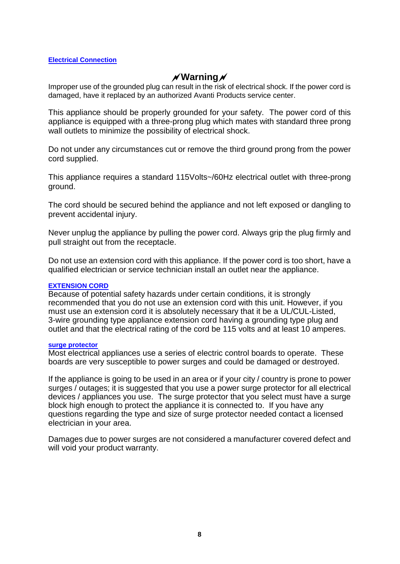#### **Electrical Connection**

# **Warning**

Improper use of the grounded plug can result in the risk of electrical shock. If the power cord is damaged, have it replaced by an authorized Avanti Products service center.

This appliance should be properly grounded for your safety. The power cord of this appliance is equipped with a three-prong plug which mates with standard three prong wall outlets to minimize the possibility of electrical shock.

Do not under any circumstances cut or remove the third ground prong from the power cord supplied.

This appliance requires a standard 115Volts~/60Hz electrical outlet with three-prong ground.

The cord should be secured behind the appliance and not left exposed or dangling to prevent accidental injury.

Never unplug the appliance by pulling the power cord. Always grip the plug firmly and pull straight out from the receptacle.

Do not use an extension cord with this appliance. If the power cord is too short, have a qualified electrician or service technician install an outlet near the appliance.

#### **EXTENSION CORD**

Because of potential safety hazards under certain conditions, it is strongly recommended that you do not use an extension cord with this unit. However, if you must use an extension cord it is absolutely necessary that it be a UL/CUL-Listed, 3-wire grounding type appliance extension cord having a grounding type plug and outlet and that the electrical rating of the cord be 115 volts and at least 10 amperes.

#### **surge protector**

Most electrical appliances use a series of electric control boards to operate. These boards are very susceptible to power surges and could be damaged or destroyed.

If the appliance is going to be used in an area or if your city / country is prone to power surges / outages; it is suggested that you use a power surge protector for all electrical devices / appliances you use. The surge protector that you select must have a surge block high enough to protect the appliance it is connected to. If you have any questions regarding the type and size of surge protector needed contact a licensed electrician in your area.

Damages due to power surges are not considered a manufacturer covered defect and will void your product warranty.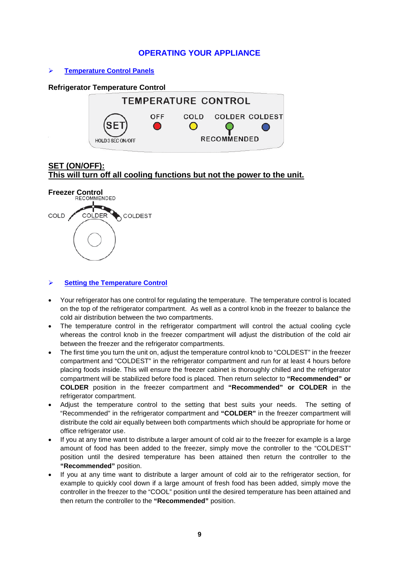## **OPERATING YOUR APPLIANCE**

**Temperature Control Panels**

**HOLD 3 SEC ON/OFF** 

#### **Refrigerator Temperature Control TEMPERATURE CONTROL OFF** COLD **COLDER COLDEST**  $\bigcirc$ **RECOMMENDED**

# **SET (ON/OFF): This will turn off all cooling functions but not the power to the unit.**



#### **Setting the Temperature Control**

- Your refrigerator has one control for regulating the temperature. The temperature control is located on the top of the refrigerator compartment. As well as a control knob in the freezer to balance the cold air distribution between the two compartments.
- The temperature control in the refrigerator compartment will control the actual cooling cycle whereas the control knob in the freezer compartment will adjust the distribution of the cold air between the freezer and the refrigerator compartments.
- The first time you turn the unit on, adjust the temperature control knob to "COLDEST" in the freezer compartment and "COLDEST" in the refrigerator compartment and run for at least 4 hours before placing foods inside. This will ensure the freezer cabinet is thoroughly chilled and the refrigerator compartment will be stabilized before food is placed. Then return selector to **"Recommended" or COLDER** position in the freezer compartment and **"Recommended" or COLDER** in the refrigerator compartment.
- Adjust the temperature control to the setting that best suits your needs. The setting of "Recommended" in the refrigerator compartment and **"COLDER"** in the freezer compartment will distribute the cold air equally between both compartments which should be appropriate for home or office refrigerator use.
- If you at any time want to distribute a larger amount of cold air to the freezer for example is a large amount of food has been added to the freezer, simply move the controller to the "COLDEST" position until the desired temperature has been attained then return the controller to the **"Recommended"** position.
- If you at any time want to distribute a larger amount of cold air to the refrigerator section, for example to quickly cool down if a large amount of fresh food has been added, simply move the controller in the freezer to the "COOL" position until the desired temperature has been attained and then return the controller to the **"Recommended"** position.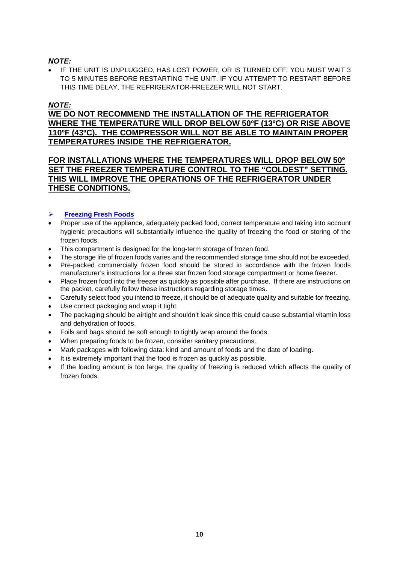## *NOTE:*

• IF THE UNIT IS UNPLUGGED, HAS LOST POWER, OR IS TURNED OFF, YOU MUST WAIT 3 TO 5 MINUTES BEFORE RESTARTING THE UNIT. IF YOU ATTEMPT TO RESTART BEFORE THIS TIME DELAY, THE REFRIGERATOR-FREEZER WILL NOT START.

## *NOTE:*

**WE DO NOT RECOMMEND THE INSTALLATION OF THE REFRIGERATOR WHERE THE TEMPERATURE WILL DROP BELOW 50ºF (13ºC) OR RISE ABOVE 110ºF (43ºC). THE COMPRESSOR WILL NOT BE ABLE TO MAINTAIN PROPER TEMPERATURES INSIDE THE REFRIGERATOR.**

## **FOR INSTALLATIONS WHERE THE TEMPERATURES WILL DROP BELOW 50º SET THE FREEZER TEMPERATURE CONTROL TO THE "COLDEST" SETTING. THIS WILL IMPROVE THE OPERATIONS OF THE REFRIGERATOR UNDER THESE CONDITIONS.**

#### **Freezing Fresh Foods**

- Proper use of the appliance, adequately packed food, correct temperature and taking into account hygienic precautions will substantially influence the quality of freezing the food or storing of the frozen foods.
- This compartment is designed for the long-term storage of frozen food.
- The storage life of frozen foods varies and the recommended storage time should not be exceeded.
- Pre-packed commercially frozen food should be stored in accordance with the frozen foods manufacturer's instructions for a three star frozen food storage compartment or home freezer.
- Place frozen food into the freezer as quickly as possible after purchase. If there are instructions on the packet, carefully follow these instructions regarding storage times.
- Carefully select food you intend to freeze, it should be of adequate quality and suitable for freezing.
- Use correct packaging and wrap it tight.
- The packaging should be airtight and shouldn't leak since this could cause substantial vitamin loss and dehydration of foods.
- Foils and bags should be soft enough to tightly wrap around the foods.
- When preparing foods to be frozen, consider sanitary precautions.
- Mark packages with following data: kind and amount of foods and the date of loading.
- It is extremely important that the food is frozen as quickly as possible.
- If the loading amount is too large, the quality of freezing is reduced which affects the quality of frozen foods.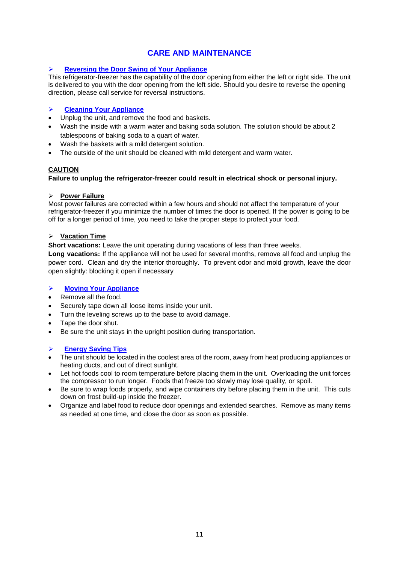## **CARE AND MAINTENANCE**

#### **Reversing the Door Swing of Your Appliance**

This refrigerator-freezer has the capability of the door opening from either the left or right side. The unit is delivered to you with the door opening from the left side. Should you desire to reverse the opening direction, please call service for reversal instructions.

#### **Cleaning Your Appliance**

- Unplug the unit, and remove the food and baskets.
- Wash the inside with a warm water and baking soda solution. The solution should be about 2 tablespoons of baking soda to a quart of water.
- Wash the baskets with a mild detergent solution.
- The outside of the unit should be cleaned with mild detergent and warm water.

#### **CAUTION**

#### **Failure to unplug the refrigerator-freezer could result in electrical shock or personal injury.**

#### **Power Failure**

Most power failures are corrected within a few hours and should not affect the temperature of your refrigerator-freezer if you minimize the number of times the door is opened. If the power is going to be off for a longer period of time, you need to take the proper steps to protect your food.

#### **Vacation Time**

**Short vacations:** Leave the unit operating during vacations of less than three weeks.

**Long vacations:** If the appliance will not be used for several months, remove all food and unplug the power cord. Clean and dry the interior thoroughly. To prevent odor and mold growth, leave the door open slightly: blocking it open if necessary

### **Moving Your Appliance**

- Remove all the food.
- Securely tape down all loose items inside your unit.
- Turn the leveling screws up to the base to avoid damage.
- Tape the door shut.
- Be sure the unit stays in the upright position during transportation.

#### **Energy Saving Tips**

- The unit should be located in the coolest area of the room, away from heat producing appliances or heating ducts, and out of direct sunlight.
- Let hot foods cool to room temperature before placing them in the unit. Overloading the unit forces the compressor to run longer. Foods that freeze too slowly may lose quality, or spoil.
- Be sure to wrap foods properly, and wipe containers dry before placing them in the unit. This cuts down on frost build-up inside the freezer.
- Organize and label food to reduce door openings and extended searches. Remove as many items as needed at one time, and close the door as soon as possible.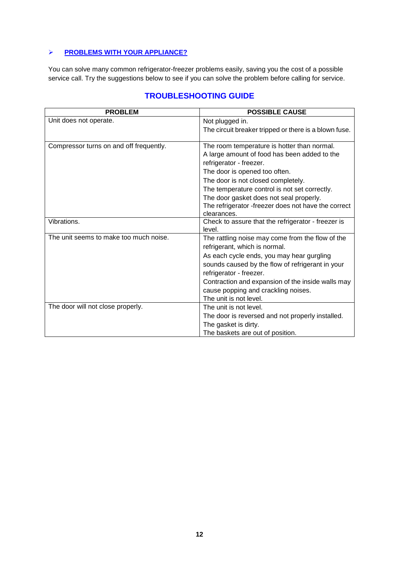## **PROBLEMS WITH YOUR APPLIANCE?**

You can solve many common refrigerator-freezer problems easily, saving you the cost of a possible service call. Try the suggestions below to see if you can solve the problem before calling for service.

| <b>PROBLEM</b>                          | <b>POSSIBLE CAUSE</b>                                 |
|-----------------------------------------|-------------------------------------------------------|
| Unit does not operate.                  | Not plugged in.                                       |
|                                         | The circuit breaker tripped or there is a blown fuse. |
| Compressor turns on and off frequently. | The room temperature is hotter than normal.           |
|                                         | A large amount of food has been added to the          |
|                                         | refrigerator - freezer.                               |
|                                         | The door is opened too often.                         |
|                                         | The door is not closed completely.                    |
|                                         | The temperature control is not set correctly.         |
|                                         | The door gasket does not seal properly.               |
|                                         | The refrigerator -freezer does not have the correct   |
|                                         | clearances.                                           |
| Vibrations.                             | Check to assure that the refrigerator - freezer is    |
|                                         | level.                                                |
| The unit seems to make too much noise.  | The rattling noise may come from the flow of the      |
|                                         | refrigerant, which is normal.                         |
|                                         | As each cycle ends, you may hear gurgling             |
|                                         | sounds caused by the flow of refrigerant in your      |
|                                         | refrigerator - freezer.                               |
|                                         | Contraction and expansion of the inside walls may     |
|                                         | cause popping and crackling noises.                   |
|                                         | The unit is not level.                                |
| The door will not close properly.       | The unit is not level.                                |
|                                         | The door is reversed and not properly installed.      |
|                                         | The gasket is dirty.                                  |
|                                         | The baskets are out of position.                      |

# **TROUBLESHOOTING GUIDE**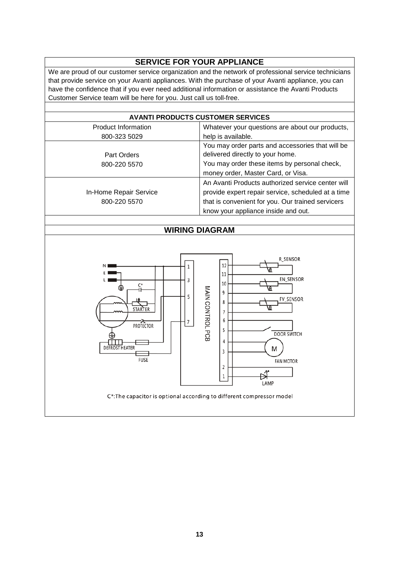# **SERVICE FOR YOUR APPLIANCE**

We are proud of our customer service organization and the network of professional service technicians that provide service on your Avanti appliances. With the purchase of your Avanti appliance, you can have the confidence that if you ever need additional information or assistance the Avanti Products Customer Service team will be here for you. Just call us toll-free.

|                            | <b>AVANTI PRODUCTS CUSTOMER SERVICES</b>           |  |  |
|----------------------------|----------------------------------------------------|--|--|
| <b>Product Information</b> | Whatever your questions are about our products,    |  |  |
| 800-323 5029               | help is available.                                 |  |  |
|                            | You may order parts and accessories that will be   |  |  |
| Part Orders                | delivered directly to your home.                   |  |  |
| 800-220 5570               | You may order these items by personal check,       |  |  |
|                            | money order, Master Card, or Visa.                 |  |  |
|                            | An Avanti Products authorized service center will  |  |  |
| In-Home Repair Service     | provide expert repair service, scheduled at a time |  |  |
| 800-220 5570               | that is convenient for you. Our trained servicers  |  |  |
|                            | know your appliance inside and out.                |  |  |
|                            |                                                    |  |  |
| <b>WIRING DIAGRAM</b>      |                                                    |  |  |
|                            |                                                    |  |  |
|                            |                                                    |  |  |
|                            | R SENSOR                                           |  |  |
|                            | 12                                                 |  |  |
|                            | 11<br>EN SENSOR                                    |  |  |
| 3<br>C*                    | 10                                                 |  |  |
| 5                          | 9                                                  |  |  |
|                            | FV_SENSOR<br>8                                     |  |  |
| STARTER                    |                                                    |  |  |
|                            | 6                                                  |  |  |
|                            | 5                                                  |  |  |
|                            | 4                                                  |  |  |
| EFROST HEATER              | M<br>3                                             |  |  |
| <b>PROTECTOR</b>           | MAIN CONTROL PCB<br><b>DOOR SWITCH</b>             |  |  |

C\*: The capacitor is optional according to different compressor model

**FAN MOTOR** 

₩ LAMP

**FUSE**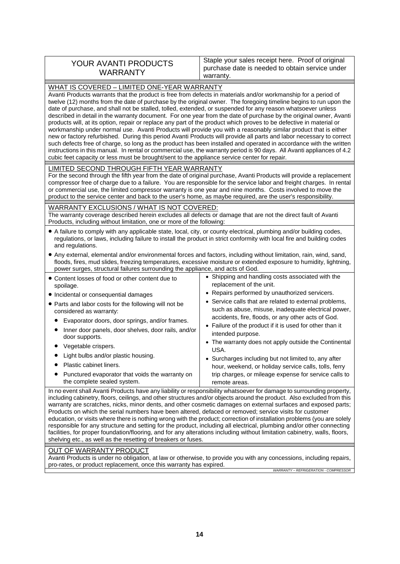| Staple your sales receipt here. Proof of original<br>YOUR AVANTI PRODUCTS<br>purchase date is needed to obtain service under<br><b>WARRANTY</b><br>warranty. |
|--------------------------------------------------------------------------------------------------------------------------------------------------------------|
|--------------------------------------------------------------------------------------------------------------------------------------------------------------|

| WHAT IS COVERED - LIMITED ONE-YEAR WARRANTY                                                                                                                                                                                                                                                                                                                                                                                                                                                                                                                                                                                                                                                                                                                                                                                                                                                                                                                                                                                                                                                                                                                                                |                                                                                                                                                                                                                                              |  |
|--------------------------------------------------------------------------------------------------------------------------------------------------------------------------------------------------------------------------------------------------------------------------------------------------------------------------------------------------------------------------------------------------------------------------------------------------------------------------------------------------------------------------------------------------------------------------------------------------------------------------------------------------------------------------------------------------------------------------------------------------------------------------------------------------------------------------------------------------------------------------------------------------------------------------------------------------------------------------------------------------------------------------------------------------------------------------------------------------------------------------------------------------------------------------------------------|----------------------------------------------------------------------------------------------------------------------------------------------------------------------------------------------------------------------------------------------|--|
| Avanti Products warrants that the product is free from defects in materials and/or workmanship for a period of<br>twelve (12) months from the date of purchase by the original owner. The foregoing timeline begins to run upon the<br>date of purchase, and shall not be stalled, tolled, extended, or suspended for any reason whatsoever unless<br>described in detail in the warranty document. For one year from the date of purchase by the original owner, Avanti<br>products will, at its option, repair or replace any part of the product which proves to be defective in material or<br>workmanship under normal use. Avanti Products will provide you with a reasonably similar product that is either<br>new or factory refurbished. During this period Avanti Products will provide all parts and labor necessary to correct<br>such defects free of charge, so long as the product has been installed and operated in accordance with the written<br>instructions in this manual. In rental or commercial use, the warranty period is 90 days. All Avanti appliances of 4.2<br>cubic feet capacity or less must be brought/sent to the appliance service center for repair. |                                                                                                                                                                                                                                              |  |
| LIMITED SECOND THROUGH FIFTH YEAR WARRANTY<br>or commercial use, the limited compressor warranty is one year and nine months. Costs involved to move the<br>product to the service center and back to the user's home, as maybe required, are the user's responsibility.                                                                                                                                                                                                                                                                                                                                                                                                                                                                                                                                                                                                                                                                                                                                                                                                                                                                                                                   | For the second through the fifth year from the date of original purchase, Avanti Products will provide a replacement<br>compressor free of charge due to a failure. You are responsible for the service labor and freight charges. In rental |  |
| WARRANTY EXCLUSIONS / WHAT IS NOT COVERED:<br>The warranty coverage described herein excludes all defects or damage that are not the direct fault of Avanti<br>Products, including without limitation, one or more of the following:                                                                                                                                                                                                                                                                                                                                                                                                                                                                                                                                                                                                                                                                                                                                                                                                                                                                                                                                                       |                                                                                                                                                                                                                                              |  |
| • A failure to comply with any applicable state, local, city, or county electrical, plumbing and/or building codes,<br>regulations, or laws, including failure to install the product in strict conformity with local fire and building codes<br>and regulations.                                                                                                                                                                                                                                                                                                                                                                                                                                                                                                                                                                                                                                                                                                                                                                                                                                                                                                                          |                                                                                                                                                                                                                                              |  |
| • Any external, elemental and/or environmental forces and factors, including without limitation, rain, wind, sand,<br>floods, fires, mud slides, freezing temperatures, excessive moisture or extended exposure to humidity, lightning,<br>power surges, structural failures surrounding the appliance, and acts of God.                                                                                                                                                                                                                                                                                                                                                                                                                                                                                                                                                                                                                                                                                                                                                                                                                                                                   |                                                                                                                                                                                                                                              |  |
| • Content losses of food or other content due to<br>spoilage.                                                                                                                                                                                                                                                                                                                                                                                                                                                                                                                                                                                                                                                                                                                                                                                                                                                                                                                                                                                                                                                                                                                              | • Shipping and handling costs associated with the<br>replacement of the unit.                                                                                                                                                                |  |
| • Incidental or consequential damages                                                                                                                                                                                                                                                                                                                                                                                                                                                                                                                                                                                                                                                                                                                                                                                                                                                                                                                                                                                                                                                                                                                                                      | • Repairs performed by unauthorized servicers.                                                                                                                                                                                               |  |
| • Parts and labor costs for the following will not be<br>considered as warranty:                                                                                                                                                                                                                                                                                                                                                                                                                                                                                                                                                                                                                                                                                                                                                                                                                                                                                                                                                                                                                                                                                                           | • Service calls that are related to external problems,<br>such as abuse, misuse, inadequate electrical power,                                                                                                                                |  |
| Evaporator doors, door springs, and/or frames.<br>$\bullet$                                                                                                                                                                                                                                                                                                                                                                                                                                                                                                                                                                                                                                                                                                                                                                                                                                                                                                                                                                                                                                                                                                                                | accidents, fire, floods, or any other acts of God.                                                                                                                                                                                           |  |
| Inner door panels, door shelves, door rails, and/or<br>door supports.                                                                                                                                                                                                                                                                                                                                                                                                                                                                                                                                                                                                                                                                                                                                                                                                                                                                                                                                                                                                                                                                                                                      | • Failure of the product if it is used for other than it<br>intended purpose.<br>• The warranty does not apply outside the Continental                                                                                                       |  |
| Vegetable crispers.                                                                                                                                                                                                                                                                                                                                                                                                                                                                                                                                                                                                                                                                                                                                                                                                                                                                                                                                                                                                                                                                                                                                                                        | USA.                                                                                                                                                                                                                                         |  |
| Light bulbs and/or plastic housing.                                                                                                                                                                                                                                                                                                                                                                                                                                                                                                                                                                                                                                                                                                                                                                                                                                                                                                                                                                                                                                                                                                                                                        | • Surcharges including but not limited to, any after                                                                                                                                                                                         |  |
| Plastic cabinet liners.                                                                                                                                                                                                                                                                                                                                                                                                                                                                                                                                                                                                                                                                                                                                                                                                                                                                                                                                                                                                                                                                                                                                                                    | hour, weekend, or holiday service calls, tolls, ferry                                                                                                                                                                                        |  |
| Punctured evaporator that voids the warranty on<br>the complete sealed system.                                                                                                                                                                                                                                                                                                                                                                                                                                                                                                                                                                                                                                                                                                                                                                                                                                                                                                                                                                                                                                                                                                             | trip charges, or mileage expense for service calls to<br>remote areas.                                                                                                                                                                       |  |

In no event shall Avanti Products have any liability or responsibility whatsoever for damage to surrounding property, including cabinetry, floors, ceilings, and other structures and/or objects around the product. Also excluded from this warranty are scratches, nicks, minor dents, and other cosmetic damages on external surfaces and exposed parts; Products on which the serial numbers have been altered, defaced or removed; service visits for customer education, or visits where there is nothing wrong with the product; correction of installation problems (you are solely responsible for any structure and setting for the product, including all electrical, plumbing and/or other connecting facilities, for proper foundation/flooring, and for any alterations including without limitation cabinetry, walls, floors, shelving etc., as well as the resetting of breakers or fuses.

#### OUT OF WARRANTY PRODUCT

Avanti Products is under no obligation, at law or otherwise, to provide you with any concessions, including repairs, pro-rates, or product replacement, once this warranty has expired.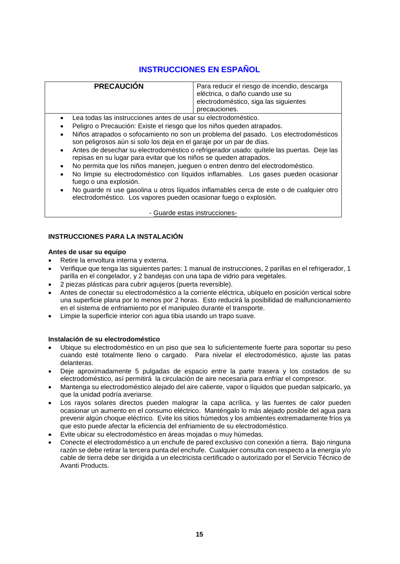# **INSTRUCCIONES EN ESPAÑOL**

| <b>PRECAUCIÓN</b>                                                                                                                       | Para reducir el riesgo de incendio, descarga<br>eléctrica, o daño cuando use su<br>electrodoméstico, siga las siguientes<br>precauciones. |
|-----------------------------------------------------------------------------------------------------------------------------------------|-------------------------------------------------------------------------------------------------------------------------------------------|
| Lea todas las instrucciones antes de usar su electrodoméstico.<br>Peligro o Precaución: Existo el riosas que los piños queden atranados |                                                                                                                                           |

- Peligro o Precaución: Existe el riesgo que los niños queden atrapados.
- Niños atrapados o sofocamiento no son un problema del pasado. Los electrodomésticos son peligrosos aún si solo los deja en el garaje por un par de días.
- Antes de desechar su electrodoméstico o refrigerador usado: quítele las puertas. Deje las repisas en su lugar para evitar que los niños se queden atrapados.
- No permita que los niños manejen, jueguen o entren dentro del electrodoméstico.
- No limpie su electrodoméstico con líquidos inflamables. Los gases pueden ocasionar fuego o una explosión.
- No guarde ni use gasolina u otros líquidos inflamables cerca de este o de cualquier otro electrodoméstico. Los vapores pueden ocasionar fuego o explosión.

#### - Guarde estas instrucciones-

#### **INSTRUCCIONES PARA LA INSTALACIÓN**

#### **Antes de usar su equipo**

- Retire la envoltura interna y externa.
- Verifique que tenga las siguientes partes: 1 manual de instrucciones, 2 parillas en el refrigerador, 1 parilla en el congelador, y 2 bandejas con una tapa de vidrio para vegetales.
- 2 piezas plásticas para cubrir agujeros (puerta reversible).
- Antes de conectar su electrodoméstico a la corriente eléctrica, ubíquelo en posición vertical sobre una superficie plana por lo menos por 2 horas. Esto reducirá la posibilidad de malfuncionamiento en el sistema de enfriamiento por el manipuleo durante el transporte.
- Limpie la superficie interior con agua tibia usando un trapo suave.

#### **Instalación de su electrodoméstico**

- Ubique su electrodoméstico en un piso que sea lo suficientemente fuerte para soportar su peso cuando esté totalmente lleno o cargado. Para nivelar el electrodoméstico, ajuste las patas delanteras.
- Deje aproximadamente 5 pulgadas de espacio entre la parte trasera y los costados de su electrodoméstico, así permitirá la circulación de aire necesaria para enfriar el compresor.
- Mantenga su electrodoméstico alejado del aire caliente, vapor o líquidos que puedan salpicarlo, ya que la unidad podría averiarse.
- Los rayos solares directos pueden malograr la capa acrílica, y las fuentes de calor pueden ocasionar un aumento en el consumo eléctrico. Manténgalo lo más alejado posible del agua para prevenir algún choque eléctrico. Evite los sitios húmedos y los ambientes extremadamente fríos ya que esto puede afectar la eficiencia del enfriamiento de su electrodoméstico.
- Evite ubicar su electrodoméstico en áreas mojadas o muy húmedas.
- Conecte el electrodoméstico a un enchufe de pared exclusivo con conexión a tierra. Bajo ninguna razón se debe retirar la tercera punta del enchufe. Cualquier consulta con respecto a la energía y/o cable de tierra debe ser dirigida a un electricista certificado o autorizado por el Servicio Técnico de Avanti Products.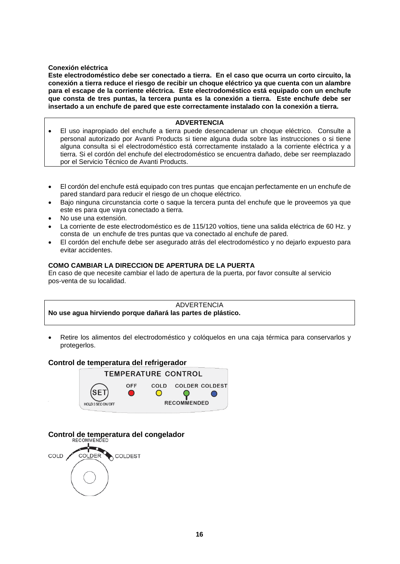#### **Conexión eléctrica**

**Este electrodoméstico debe ser conectado a tierra. En el caso que ocurra un corto circuito, la conexión a tierra reduce el riesgo de recibir un choque eléctrico ya que cuenta con un alambre para el escape de la corriente eléctrica. Este electrodoméstico está equipado con un enchufe que consta de tres puntas, la tercera punta es la conexión a tierra. Este enchufe debe ser insertado a un enchufe de pared que este correctamente instalado con la conexión a tierra.** 

#### **ADVERTENCIA**

- El uso inapropiado del enchufe a tierra puede desencadenar un choque eléctrico. Consulte a personal autorizado por Avanti Products si tiene alguna duda sobre las instrucciones o si tiene alguna consulta si el electrodoméstico está correctamente instalado a la corriente eléctrica y a tierra. Si el cordón del enchufe del electrodoméstico se encuentra dañado, debe ser reemplazado por el Servicio Técnico de Avanti Products.
- El cordón del enchufe está equipado con tres puntas que encajan perfectamente en un enchufe de pared standard para reducir el riesgo de un choque eléctrico.
- Bajo ninguna circunstancia corte o saque la tercera punta del enchufe que le proveemos ya que este es para que vaya conectado a tierra.
- No use una extensión.
- La corriente de este electrodoméstico es de 115/120 voltios, tiene una salida eléctrica de 60 Hz. y consta de un enchufe de tres puntas que va conectado al enchufe de pared.
- El cordón del enchufe debe ser asegurado atrás del electrodoméstico y no dejarlo expuesto para evitar accidentes.

#### **COMO CAMBIAR LA DIRECCION DE APERTURA DE LA PUERTA**

En caso de que necesite cambiar el lado de apertura de la puerta, por favor consulte al servicio pos-venta de su localidad.



Retire los alimentos del electrodoméstico y colóquelos en una caja térmica para conservarlos y protegerlos.

#### **Control de temperatura del refrigerador**



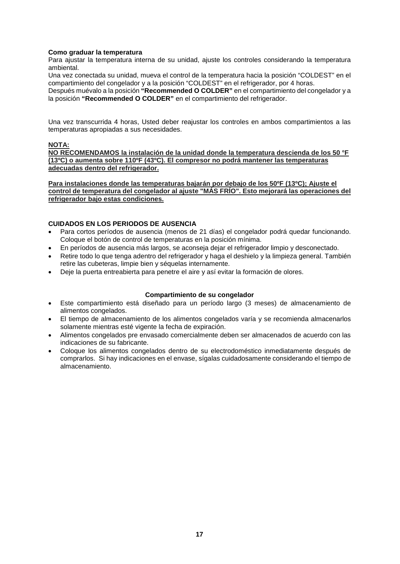#### **Como graduar la temperatura**

Para ajustar la temperatura interna de su unidad, ajuste los controles considerando la temperatura ambiental.

Una vez conectada su unidad, mueva el control de la temperatura hacia la posición "COLDEST" en el compartimiento del congelador y a la posición "COLDEST" en el refrigerador, por 4 horas.

Después muévalo a la posición **"Recommended O COLDER"** en el compartimiento del congelador y a la posición **"Recommended O COLDER"** en el compartimiento del refrigerador.

Una vez transcurrida 4 horas, Usted deber reajustar los controles en ambos compartimientos a las temperaturas apropiadas a sus necesidades.

#### **NOTA:**

**NO RECOMENDAMOS la instalación de la unidad donde la temperatura descienda de los 50 °F (13ºC) o aumenta sobre 110ºF (43ºC). El compresor no podrá mantener las temperaturas adecuadas dentro del refrigerador.**

**Para instalaciones donde las temperaturas bajarán por debajo de los 50ºF (13ºC); Ajuste el control de temperatura del congelador al ajuste "MÁS FRÍO". Esto mejorará las operaciones del refrigerador bajo estas condiciones.**

#### **CUIDADOS EN LOS PERIODOS DE AUSENCIA**

- Para cortos períodos de ausencia (menos de 21 días) el congelador podrá quedar funcionando. Coloque el botón de control de temperaturas en la posición mínima.
- En períodos de ausencia más largos, se aconseja dejar el refrigerador limpio y desconectado.
- Retire todo lo que tenga adentro del refrigerador y haga el deshielo y la limpieza general. También retire las cubeteras, limpie bien y séquelas internamente.
- Deje la puerta entreabierta para penetre el aire y así evitar la formación de olores.

#### **Compartimiento de su congelador**

- Este compartimiento está diseñado para un período largo (3 meses) de almacenamiento de alimentos congelados.
- El tiempo de almacenamiento de los alimentos congelados varía y se recomienda almacenarlos solamente mientras esté vigente la fecha de expiración.
- Alimentos congelados pre envasado comercialmente deben ser almacenados de acuerdo con las indicaciones de su fabricante.
- Coloque los alimentos congelados dentro de su electrodoméstico inmediatamente después de comprarlos. Si hay indicaciones en el envase, sígalas cuidadosamente considerando el tiempo de almacenamiento.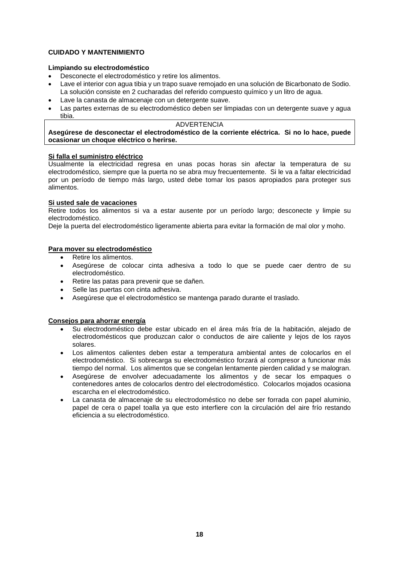#### **CUIDADO Y MANTENIMIENTO**

#### **Limpiando su electrodoméstico**

- Desconecte el electrodoméstico y retire los alimentos.
- Lave el interior con agua tibia y un trapo suave remojado en una solución de Bicarbonato de Sodio. La solución consiste en 2 cucharadas del referido compuesto químico y un litro de agua.
- Lave la canasta de almacenaje con un detergente suave.
- Las partes externas de su electrodoméstico deben ser limpiadas con un detergente suave y agua tibia.

#### **ADVERTENCIA**

**Asegúrese de desconectar el electrodoméstico de la corriente eléctrica. Si no lo hace, puede ocasionar un choque eléctrico o herirse.**

#### **Si falla el suministro eléctrico**

Usualmente la electricidad regresa en unas pocas horas sin afectar la temperatura de su electrodoméstico, siempre que la puerta no se abra muy frecuentemente. Si le va a faltar electricidad por un período de tiempo más largo, usted debe tomar los pasos apropiados para proteger sus alimentos.

#### **Si usted sale de vacaciones**

Retire todos los alimentos si va a estar ausente por un período largo; desconecte y limpie su electrodoméstico.

Deje la puerta del electrodoméstico ligeramente abierta para evitar la formación de mal olor y moho.

#### **Para mover su electrodoméstico**

- Retire los alimentos.
- Asegúrese de colocar cinta adhesiva a todo lo que se puede caer dentro de su electrodoméstico.
- Retire las patas para prevenir que se dañen.
- Selle las puertas con cinta adhesiva.
- Asegúrese que el electrodoméstico se mantenga parado durante el traslado.

#### **Consejos para ahorrar energía**

- Su electrodoméstico debe estar ubicado en el área más fría de la habitación, alejado de electrodomésticos que produzcan calor o conductos de aire caliente y lejos de los rayos solares.
- Los alimentos calientes deben estar a temperatura ambiental antes de colocarlos en el electrodoméstico. Si sobrecarga su electrodoméstico forzará al compresor a funcionar más tiempo del normal. Los alimentos que se congelan lentamente pierden calidad y se malogran.
- Asegúrese de envolver adecuadamente los alimentos y de secar los empaques o contenedores antes de colocarlos dentro del electrodoméstico. Colocarlos mojados ocasiona escarcha en el electrodoméstico.
- La canasta de almacenaje de su electrodoméstico no debe ser forrada con papel aluminio, papel de cera o papel toalla ya que esto interfiere con la circulación del aire frío restando eficiencia a su electrodoméstico.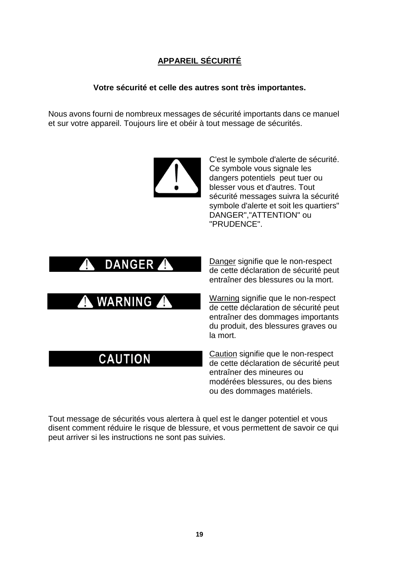# **APPAREIL SÉCURITÉ**

## **Votre sécurité et celle des autres sont très importantes.**

Nous avons fourni de nombreux messages de sécurité importants dans ce manuel et sur votre appareil. Toujours lire et obéir à tout message de sécurités.



C'est le symbole d'alerte de sécurité. Ce symbole vous signale les dangers potentiels peut tuer ou blesser vous et d'autres. Tout sécurité messages suivra la sécurité symbole d'alerte et soit les quartiers" DANGER","ATTENTION" ou "PRUDENCE".



Danger signifie que le non-respect de cette déclaration de sécurité peut entraîner des blessures ou la mort.

Warning signifie que le non-respect de cette déclaration de sécurité peut entraîner des dommages importants du produit, des blessures graves ou la mort.

Caution signifie que le non-respect de cette déclaration de sécurité peut entraîner des mineures ou modérées blessures, ou des biens ou des dommages matériels.

Tout message de sécurités vous alertera à quel est le danger potentiel et vous disent comment réduire le risque de blessure, et vous permettent de savoir ce qui peut arriver si les instructions ne sont pas suivies.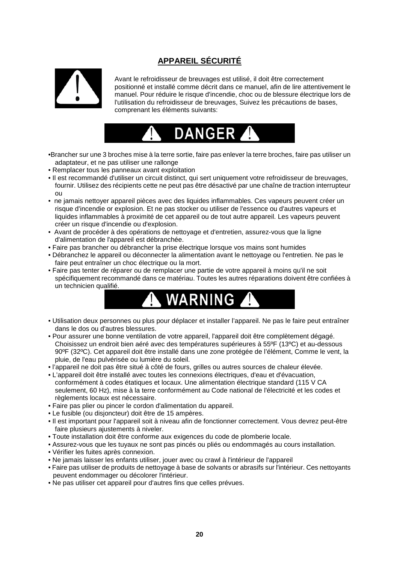# **APPAREIL SÉCURITÉ**



Avant le refroidisseur de breuvages est utilisé, il doit être correctement positionné et installé comme décrit dans ce manuel, afin de lire attentivement le manuel. Pour réduire le risque d'incendie, choc ou de blessure électrique lors de l'utilisation du refroidisseur de breuvages, Suivez les précautions de bases, comprenant les éléments suivants:



- •Brancher sur une 3 broches mise à la terre sortie, faire pas enlever la terre broches, faire pas utiliser un adaptateur, et ne pas utiliser une rallonge
- Remplacer tous les panneaux avant exploitation
- Il est recommandé d'utiliser un circuit distinct, qui sert uniquement votre refroidisseur de breuvages, fournir. Utilisez des récipients cette ne peut pas être désactivé par une chaîne de traction interrupteur ou
- ne jamais nettoyer appareil pièces avec des liquides inflammables. Ces vapeurs peuvent créer un risque d'incendie or explosion. Et ne pas stocker ou utiliser de l'essence ou d'autres vapeurs et liquides inflammables à proximité de cet appareil ou de tout autre appareil. Les vapeurs peuvent créer un risque d'incendie ou d'explosion.
- Avant de procéder à des opérations de nettoyage et d'entretien, assurez-vous que la ligne d'alimentation de l'appareil est débranchée.
- Faire pas brancher ou débrancher la prise électrique lorsque vos mains sont humides
- Débranchez le appareil ou déconnecter la alimentation avant le nettoyage ou l'entretien. Ne pas le faire peut entraîner un choc électrique ou la mort.
- Faire pas tenter de réparer ou de remplacer une partie de votre appareil à moins qu'il ne soit spécifiquement recommandé dans ce matériau. Toutes les autres réparations doivent être confiées à un technicien qualifié.



- Utilisation deux personnes ou plus pour déplacer et installer l'appareil. Ne pas le faire peut entraîner dans le dos ou d'autres blessures.
- Pour assurer une bonne ventilation de votre appareil, l'appareil doit être complètement dégagé. Choisissez un endroit bien aéré avec des températures supérieures à 55ºF (13ºC) et au-dessous 90ºF (32ºC). Cet appareil doit être installé dans une zone protégée de l'élément, Comme le vent, la pluie, de l'eau pulvérisée ou lumière du soleil.
- l'appareil ne doit pas être situé à côté de fours, grilles ou autres sources de chaleur élevée.
- L'appareil doit être installé avec toutes les connexions électriques, d'eau et d'évacuation, conformément à codes étatiques et locaux. Une alimentation électrique standard (115 V CA seulement, 60 Hz), mise à la terre conformément au Code national de l'électricité et les codes et règlements locaux est nécessaire.
- Faire pas plier ou pincer le cordon d'alimentation du appareil.
- Le fusible (ou disjoncteur) doit être de 15 ampères.
- Il est important pour l'appareil soit à niveau afin de fonctionner correctement. Vous devrez peut-être faire plusieurs ajustements à niveler.
- Toute installation doit être conforme aux exigences du code de plomberie locale.
- Assurez-vous que les tuyaux ne sont pas pincés ou pliés ou endommagés au cours installation.
- Vérifier les fuites après connexion.
- Ne jamais laisser les enfants utiliser, jouer avec ou crawl à l'intérieur de l'appareil
- Faire pas utiliser de produits de nettoyage à base de solvants or abrasifs sur l'intérieur. Ces nettoyants peuvent endommager ou décolorer l'intérieur.
- Ne pas utiliser cet appareil pour d'autres fins que celles prévues.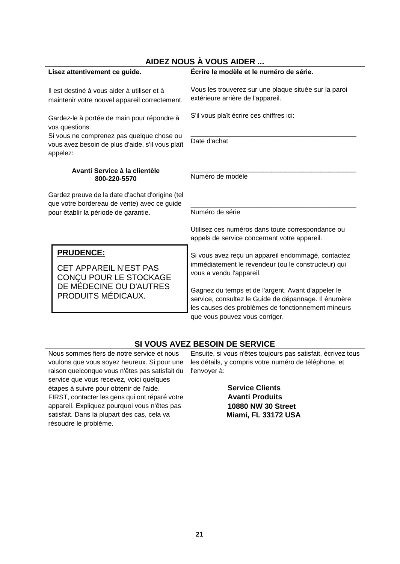|                                                                                                                                                                           | AIDEZ NOUS A VOUS AIDER                                 |                                                                                                                                                                  |  |  |
|---------------------------------------------------------------------------------------------------------------------------------------------------------------------------|---------------------------------------------------------|------------------------------------------------------------------------------------------------------------------------------------------------------------------|--|--|
| Lisez attentivement ce guide.                                                                                                                                             |                                                         | Écrire le modèle et le numéro de série.                                                                                                                          |  |  |
| Il est destiné à vous aider à utiliser et à<br>maintenir votre nouvel appareil correctement.                                                                              |                                                         | Vous les trouverez sur une plaque située sur la paroi<br>extérieure arrière de l'appareil.                                                                       |  |  |
| Gardez-le à portée de main pour répondre à<br>vos questions.<br>Si vous ne comprenez pas quelque chose ou<br>vous avez besoin de plus d'aide, s'il vous plaît<br>appelez: |                                                         | S'il vous plaît écrire ces chiffres ici:                                                                                                                         |  |  |
|                                                                                                                                                                           |                                                         | Date d'achat                                                                                                                                                     |  |  |
| Avanti Service à la clientèle<br>800-220-5570                                                                                                                             |                                                         | Numéro de modèle                                                                                                                                                 |  |  |
| Gardez preuve de la date d'achat d'origine (tel                                                                                                                           |                                                         |                                                                                                                                                                  |  |  |
| que votre bordereau de vente) avec ce guide<br>pour établir la période de garantie.                                                                                       |                                                         | Numéro de série                                                                                                                                                  |  |  |
|                                                                                                                                                                           |                                                         | Utilisez ces numéros dans toute correspondance ou<br>appels de service concernant votre appareil.                                                                |  |  |
|                                                                                                                                                                           | <b>PRUDENCE:</b>                                        | Si vous avez reçu un appareil endommagé, contactez                                                                                                               |  |  |
|                                                                                                                                                                           | <b>CET APPAREIL N'EST PAS</b><br>CONÇU POUR LE STOCKAGE | immédiatement le revendeur (ou le constructeur) qui<br>vous a vendu l'appareil.                                                                                  |  |  |
|                                                                                                                                                                           | DE MÉDECINE OU D'AUTRES<br>PRODUITS MÉDICAUX.           | Gagnez du temps et de l'argent. Avant d'appeler le<br>service, consultez le Guide de dépannage. Il énumère<br>les causes des problèmes de fonctionnement mineurs |  |  |

# **SI VOUS AVEZ BESOIN DE SERVICE**

que vous pouvez vous corriger.

Nous sommes fiers de notre service et nous voulons que vous soyez heureux. Si pour une raison quelconque vous n'êtes pas satisfait du l'envoyer à: service que vous recevez, voici quelques étapes à suivre pour obtenir de l'aide. FIRST, contacter les gens qui ont réparé votre appareil. Expliquez pourquoi vous n'êtes pas satisfait. Dans la plupart des cas, cela va résoudre le problème.

ı

Ensuite, si vous n'êtes toujours pas satisfait, écrivez tous les détails, y compris votre numéro de téléphone, et

> **Service Clients Avanti Produits 10880 NW 30 Street Miami, FL 33172 USA**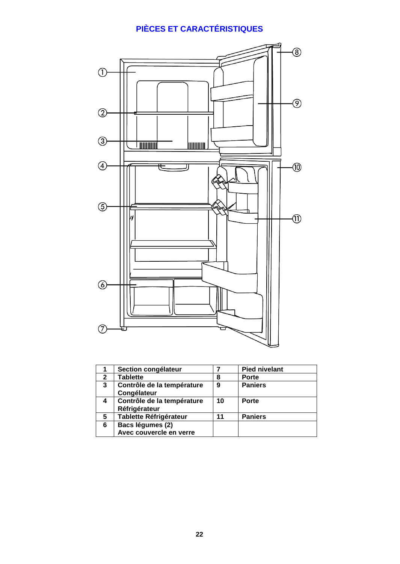# **PIÈCES ET CARACTÉRISTIQUES**



|   | Section congélateur                         |    | <b>Pied nivelant</b> |
|---|---------------------------------------------|----|----------------------|
| 2 | <b>Tablette</b>                             | 8  | <b>Porte</b>         |
| 3 | Contrôle de la température<br>Congélateur   | 9  | <b>Paniers</b>       |
| 4 | Contrôle de la température<br>Réfrigérateur | 10 | <b>Porte</b>         |
| 5 | <b>Tablette Réfrigérateur</b>               | 11 | <b>Paniers</b>       |
| 6 | Bacs légumes (2)                            |    |                      |
|   | Avec couvercle en verre                     |    |                      |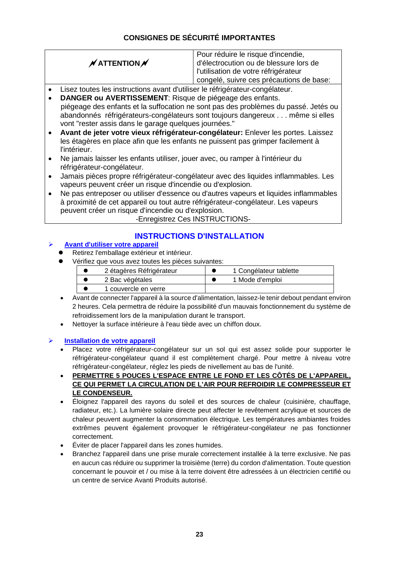# **CONSIGNES DE SÉCURITÉ IMPORTANTES**

# $\cancel{\mathcal{N}}$  ATTENTION  $\cancel{\mathcal{N}}$

Pour réduire le risque d'incendie. d'électrocution ou de blessure lors de l'utilisation de votre réfrigérateur congelé, suivre ces précautions de base:

- Lisez toutes les instructions avant d'utiliser le réfrigérateur-congélateur.
- **DANGER ou AVERTISSEMENT**: Risque de piégeage des enfants. piégeage des enfants et la suffocation ne sont pas des problèmes du passé. Jetés ou abandonnés réfrigérateurs-congélateurs sont toujours dangereux . . . même si elles vont "rester assis dans le garage quelques journées."
- **Avant de jeter votre vieux réfrigérateur-congélateur:** Enlever les portes. Laissez les étagères en place afin que les enfants ne puissent pas grimper facilement à l'intérieur.
- Ne jamais laisser les enfants utiliser, jouer avec, ou ramper à l'intérieur du réfrigérateur-congélateur.
- Jamais pièces propre réfrigérateur-congélateur avec des liquides inflammables. Les vapeurs peuvent créer un risque d'incendie ou d'explosion.
- Ne pas entreposer ou utiliser d'essence ou d'autres vapeurs et liquides inflammables à proximité de cet appareil ou tout autre réfrigérateur-congélateur. Les vapeurs peuvent créer un risque d'incendie ou d'explosion.

-Enregistrez Ces INSTRUCTIONS-

# **INSTRUCTIONS D'INSTALLATION**

## **Avant d'utiliser votre appareil**

- Retirez l'emballage extérieur et intérieur.
- Vérifiez que vous avez toutes les pièces suivantes:

| 2 étagères Réfrigérateur | 1 Congélateur tablette |
|--------------------------|------------------------|
| 2 Bac végétales          | 1 Mode d'emploi        |
| 1 couvercle en verre     |                        |

- Avant de connecter l'appareil à la source d'alimentation, laissez-le tenir debout pendant environ 2 heures. Cela permettra de réduire la possibilité d'un mauvais fonctionnement du système de refroidissement lors de la manipulation durant le transport.
- Nettoyer la surface intérieure à l'eau tiède avec un chiffon doux.

### **Installation de votre appareil**

- Placez votre réfrigérateur-congélateur sur un sol qui est assez solide pour supporter le réfrigérateur-congélateur quand il est complètement chargé. Pour mettre à niveau votre réfrigérateur-congélateur, réglez les pieds de nivellement au bas de l'unité.
- **PERMETTRE 5 POUCES L'ESPACE ENTRE LE FOND ET LES CÔTÉS DE L'APPAREIL, CE QUI PERMET LA CIRCULATION DE L'AIR POUR REFROIDIR LE COMPRESSEUR ET LE CONDENSEUR.**
- Éloignez l'appareil des rayons du soleil et des sources de chaleur (cuisinière, chauffage, radiateur, etc.). La lumière solaire directe peut affecter le revêtement acrylique et sources de chaleur peuvent augmenter la consommation électrique. Les températures ambiantes froides extrêmes peuvent également provoquer le réfrigérateur-congélateur ne pas fonctionner correctement.
- Éviter de placer l'appareil dans les zones humides.
- Branchez l'appareil dans une prise murale correctement installée à la terre exclusive. Ne pas en aucun cas réduire ou supprimer la troisième (terre) du cordon d'alimentation. Toute question concernant le pouvoir et / ou mise à la terre doivent être adressées à un électricien certifié ou un centre de service Avanti Produits autorisé.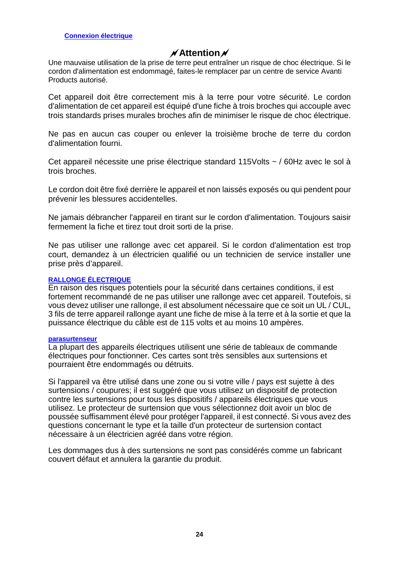# **Attention**

Une mauvaise utilisation de la prise de terre peut entraîner un risque de choc électrique. Si le cordon d'alimentation est endommagé, faites-le remplacer par un centre de service Avanti Products autorisé.

Cet appareil doit être correctement mis à la terre pour votre sécurité. Le cordon d'alimentation de cet appareil est équipé d'une fiche à trois broches qui accouple avec trois standards prises murales broches afin de minimiser le risque de choc électrique.

Ne pas en aucun cas couper ou enlever la troisième broche de terre du cordon d'alimentation fourni.

Cet appareil nécessite une prise électrique standard 115Volts ~ / 60Hz avec le sol à trois broches.

Le cordon doit être fixé derrière le appareil et non laissés exposés ou qui pendent pour prévenir les blessures accidentelles.

Ne jamais débrancher l'appareil en tirant sur le cordon d'alimentation. Toujours saisir fermement la fiche et tirez tout droit sorti de la prise.

Ne pas utiliser une rallonge avec cet appareil. Si le cordon d'alimentation est trop court, demandez à un électricien qualifié ou un technicien de service installer une prise près d'appareil.

### **RALLONGE ÉLECTRIQUE**

En raison des risques potentiels pour la sécurité dans certaines conditions, il est fortement recommandé de ne pas utiliser une rallonge avec cet appareil. Toutefois, si vous devez utiliser une rallonge, il est absolument nécessaire que ce soit un UL / CUL, 3 fils de terre appareil rallonge ayant une fiche de mise à la terre et à la sortie et que la puissance électrique du câble est de 115 volts et au moins 10 ampères.

#### **parasurtenseur**

La plupart des appareils électriques utilisent une série de tableaux de commande électriques pour fonctionner. Ces cartes sont très sensibles aux surtensions et pourraient être endommagés ou détruits.

Si l'appareil va être utilisé dans une zone ou si votre ville / pays est sujette à des surtensions / coupures; il est suggéré que vous utilisez un dispositif de protection contre les surtensions pour tous les dispositifs / appareils électriques que vous utilisez. Le protecteur de surtension que vous sélectionnez doit avoir un bloc de poussée suffisamment élevé pour protéger l'appareil, il est connecté. Si vous avez des questions concernant le type et la taille d'un protecteur de surtension contact nécessaire à un électricien agréé dans votre région.

Les dommages dus à des surtensions ne sont pas considérés comme un fabricant couvert défaut et annulera la garantie du produit.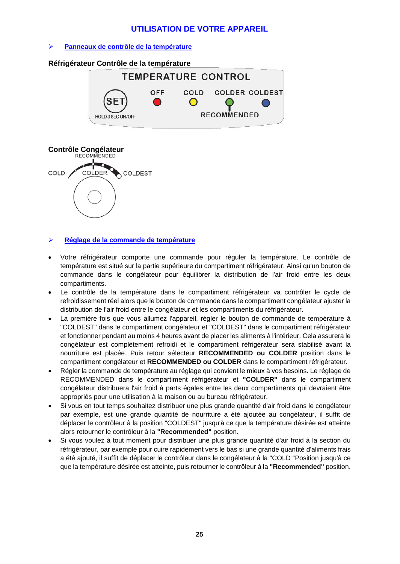## **UTILISATION DE VOTRE APPAREIL**

#### **Panneaux de contrôle de la température**

#### **Réfrigérateur Contrôle de la température**





#### **Réglage de la commande de température**

- Votre réfrigérateur comporte une commande pour réguler la température. Le contrôle de température est situé sur la partie supérieure du compartiment réfrigérateur. Ainsi qu'un bouton de commande dans le congélateur pour équilibrer la distribution de l'air froid entre les deux compartiments.
- Le contrôle de la température dans le compartiment réfrigérateur va contrôler le cycle de refroidissement réel alors que le bouton de commande dans le compartiment congélateur ajuster la distribution de l'air froid entre le congélateur et les compartiments du réfrigérateur.
- La première fois que vous allumez l'appareil, régler le bouton de commande de température à "COLDEST" dans le compartiment congélateur et "COLDEST" dans le compartiment réfrigérateur et fonctionner pendant au moins 4 heures avant de placer les aliments à l'intérieur. Cela assurera le congélateur est complètement refroidi et le compartiment réfrigérateur sera stabilisé avant la nourriture est placée. Puis retour sélecteur **RECOMMENDED ou COLDER** position dans le compartiment congélateur et **RECOMMENDED ou COLDER** dans le compartiment réfrigérateur.
- Régler la commande de température au réglage qui convient le mieux à vos besoins. Le réglage de RECOMMENDED dans le compartiment réfrigérateur et **"COLDER"** dans le compartiment congélateur distribuera l'air froid à parts égales entre les deux compartiments qui devraient être appropriés pour une utilisation à la maison ou au bureau réfrigérateur.
- Si vous en tout temps souhaitez distribuer une plus grande quantité d'air froid dans le congélateur par exemple, est une grande quantité de nourriture a été ajoutée au congélateur, il suffit de déplacer le contrôleur à la position "COLDEST" jusqu'à ce que la température désirée est atteinte alors retourner le contrôleur à la **"Recommended"** position.
- Si vous voulez à tout moment pour distribuer une plus grande quantité d'air froid à la section du réfrigérateur, par exemple pour cuire rapidement vers le bas si une grande quantité d'aliments frais a été ajouté, il suffit de déplacer le contrôleur dans le congélateur à la "COLD "Position jusqu'à ce que la température désirée est atteinte, puis retourner le contrôleur à la **"Recommended"** position.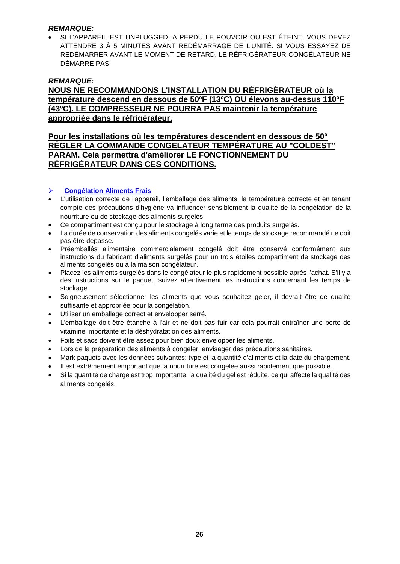## *REMARQUE:*

• SI L'APPAREIL EST UNPLUGGED, A PERDU LE POUVOIR OU EST ÉTEINT, VOUS DEVEZ ATTENDRE 3 À 5 MINUTES AVANT REDÉMARRAGE DE L'UNITÉ. SI VOUS ESSAYEZ DE REDÉMARRER AVANT LE MOMENT DE RETARD, LE RÉFRIGÉRATEUR-CONGÉLATEUR NE DÉMARRE PAS.

## *REMARQUE:*

## **NOUS NE RECOMMANDONS L'INSTALLATION DU RÉFRIGÉRATEUR où la température descend en dessous de 50ºF (13ºC) OU élevons au-dessus 110ºF (43ºC). LE COMPRESSEUR NE POURRA PAS maintenir la température appropriée dans le réfrigérateur.**

## **Pour les installations où les températures descendent en dessous de 50º RÉGLER LA COMMANDE CONGELATEUR TEMPÉRATURE AU "COLDEST" PARAM. Cela permettra d'améliorer LE FONCTIONNEMENT DU RÉFRIGÉRATEUR DANS CES CONDITIONS.**

### **Congélation Aliments Frais**

- L'utilisation correcte de l'appareil, l'emballage des aliments, la température correcte et en tenant compte des précautions d'hygiène va influencer sensiblement la qualité de la congélation de la nourriture ou de stockage des aliments surgelés.
- Ce compartiment est conçu pour le stockage à long terme des produits surgelés.
- La durée de conservation des aliments congelés varie et le temps de stockage recommandé ne doit pas être dépassé.
- Préemballés alimentaire commercialement congelé doit être conservé conformément aux instructions du fabricant d'aliments surgelés pour un trois étoiles compartiment de stockage des aliments congelés ou à la maison congélateur.
- Placez les aliments surgelés dans le congélateur le plus rapidement possible après l'achat. S'il y a des instructions sur le paquet, suivez attentivement les instructions concernant les temps de stockage.
- Soigneusement sélectionner les aliments que vous souhaitez geler, il devrait être de qualité suffisante et appropriée pour la congélation.
- Utiliser un emballage correct et envelopper serré.
- L'emballage doit être étanche à l'air et ne doit pas fuir car cela pourrait entraîner une perte de vitamine importante et la déshydratation des aliments.
- Foils et sacs doivent être assez pour bien doux envelopper les aliments.
- Lors de la préparation des aliments à congeler, envisager des précautions sanitaires.
- Mark paquets avec les données suivantes: type et la quantité d'aliments et la date du chargement.
- Il est extrêmement emportant que la nourriture est congelée aussi rapidement que possible.
- Si la quantité de charge est trop importante, la qualité du gel est réduite, ce qui affecte la qualité des aliments congelés.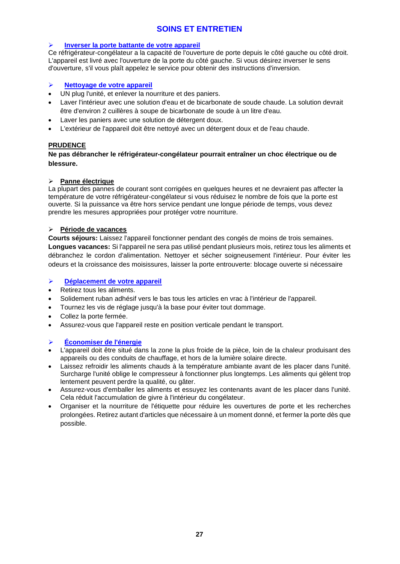## **SOINS ET ENTRETIEN**

#### **Inverser la porte battante de votre appareil**

Ce réfrigérateur-congélateur a la capacité de l'ouverture de porte depuis le côté gauche ou côté droit. L'appareil est livré avec l'ouverture de la porte du côté gauche. Si vous désirez inverser le sens d'ouverture, s'il vous plaît appelez le service pour obtenir des instructions d'inversion.

#### **Nettoyage de votre appareil**

- UN plug l'unité, et enlever la nourriture et des paniers.
- Laver l'intérieur avec une solution d'eau et de bicarbonate de soude chaude. La solution devrait être d'environ 2 cuillères à soupe de bicarbonate de soude à un litre d'eau.
- Laver les paniers avec une solution de détergent doux.
- L'extérieur de l'appareil doit être nettoyé avec un détergent doux et de l'eau chaude.

#### **PRUDENCE**

**Ne pas débrancher le réfrigérateur-congélateur pourrait entraîner un choc électrique ou de blessure.**

#### **Panne électrique**

La plupart des pannes de courant sont corrigées en quelques heures et ne devraient pas affecter la température de votre réfrigérateur-congélateur si vous réduisez le nombre de fois que la porte est ouverte. Si la puissance va être hors service pendant une longue période de temps, vous devez prendre les mesures appropriées pour protéger votre nourriture.

#### **Période de vacances**

**Courts séjours:** Laissez l'appareil fonctionner pendant des congés de moins de trois semaines. **Longues vacances:** Si l'appareil ne sera pas utilisé pendant plusieurs mois, retirez tous les aliments et débranchez le cordon d'alimentation. Nettoyer et sécher soigneusement l'intérieur. Pour éviter les odeurs et la croissance des moisissures, laisser la porte entrouverte: blocage ouverte si nécessaire

#### **Déplacement de votre appareil**

- Retirez tous les aliments.
- Solidement ruban adhésif vers le bas tous les articles en vrac à l'intérieur de l'appareil.
- Tournez les vis de réglage jusqu'à la base pour éviter tout dommage.
- Collez la porte fermée.
- Assurez-vous que l'appareil reste en position verticale pendant le transport.

### **Économiser de l'énergie**

- L'appareil doit être situé dans la zone la plus froide de la pièce, loin de la chaleur produisant des appareils ou des conduits de chauffage, et hors de la lumière solaire directe.
- Laissez refroidir les aliments chauds à la température ambiante avant de les placer dans l'unité. Surcharge l'unité oblige le compresseur à fonctionner plus longtemps. Les aliments qui gèlent trop lentement peuvent perdre la qualité, ou gâter.
- Assurez-vous d'emballer les aliments et essuyez les contenants avant de les placer dans l'unité. Cela réduit l'accumulation de givre à l'intérieur du congélateur.
- Organiser et la nourriture de l'étiquette pour réduire les ouvertures de porte et les recherches prolongées. Retirez autant d'articles que nécessaire à un moment donné, et fermer la porte dès que possible.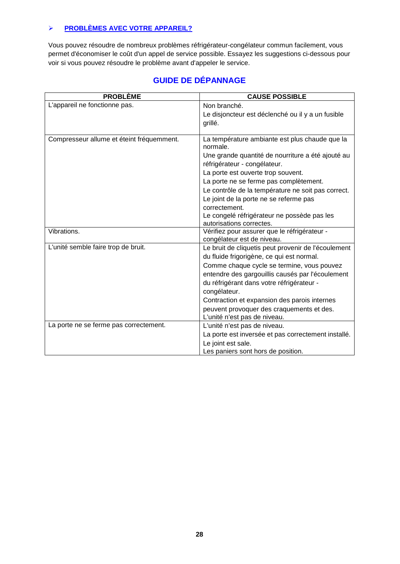## **PROBLÈMES AVEC VOTRE APPAREIL?**

Vous pouvez résoudre de nombreux problèmes réfrigérateur-congélateur commun facilement, vous permet d'économiser le coût d'un appel de service possible. Essayez les suggestions ci-dessous pour voir si vous pouvez résoudre le problème avant d'appeler le service.

| <b>PROBLÈME</b>                                                                              | <b>CAUSE POSSIBLE</b>                                                                                                                                                                                                                                                                                                                                                                                                                                                                                                                                                                                                                                                                                    |  |
|----------------------------------------------------------------------------------------------|----------------------------------------------------------------------------------------------------------------------------------------------------------------------------------------------------------------------------------------------------------------------------------------------------------------------------------------------------------------------------------------------------------------------------------------------------------------------------------------------------------------------------------------------------------------------------------------------------------------------------------------------------------------------------------------------------------|--|
| L'appareil ne fonctionne pas.                                                                | Non branché.                                                                                                                                                                                                                                                                                                                                                                                                                                                                                                                                                                                                                                                                                             |  |
|                                                                                              | Le disjoncteur est déclenché ou il y a un fusible                                                                                                                                                                                                                                                                                                                                                                                                                                                                                                                                                                                                                                                        |  |
|                                                                                              | grillé.                                                                                                                                                                                                                                                                                                                                                                                                                                                                                                                                                                                                                                                                                                  |  |
|                                                                                              |                                                                                                                                                                                                                                                                                                                                                                                                                                                                                                                                                                                                                                                                                                          |  |
| Compresseur allume et éteint fréquemment.                                                    | La température ambiante est plus chaude que la<br>normale.                                                                                                                                                                                                                                                                                                                                                                                                                                                                                                                                                                                                                                               |  |
|                                                                                              | Une grande quantité de nourriture a été ajouté au                                                                                                                                                                                                                                                                                                                                                                                                                                                                                                                                                                                                                                                        |  |
|                                                                                              | réfrigérateur - congélateur.                                                                                                                                                                                                                                                                                                                                                                                                                                                                                                                                                                                                                                                                             |  |
|                                                                                              | La porte est ouverte trop souvent.                                                                                                                                                                                                                                                                                                                                                                                                                                                                                                                                                                                                                                                                       |  |
|                                                                                              | La porte ne se ferme pas complètement.                                                                                                                                                                                                                                                                                                                                                                                                                                                                                                                                                                                                                                                                   |  |
|                                                                                              | Le contrôle de la température ne soit pas correct.                                                                                                                                                                                                                                                                                                                                                                                                                                                                                                                                                                                                                                                       |  |
|                                                                                              | Le joint de la porte ne se referme pas                                                                                                                                                                                                                                                                                                                                                                                                                                                                                                                                                                                                                                                                   |  |
|                                                                                              | correctement.                                                                                                                                                                                                                                                                                                                                                                                                                                                                                                                                                                                                                                                                                            |  |
|                                                                                              |                                                                                                                                                                                                                                                                                                                                                                                                                                                                                                                                                                                                                                                                                                          |  |
|                                                                                              |                                                                                                                                                                                                                                                                                                                                                                                                                                                                                                                                                                                                                                                                                                          |  |
|                                                                                              |                                                                                                                                                                                                                                                                                                                                                                                                                                                                                                                                                                                                                                                                                                          |  |
|                                                                                              |                                                                                                                                                                                                                                                                                                                                                                                                                                                                                                                                                                                                                                                                                                          |  |
|                                                                                              |                                                                                                                                                                                                                                                                                                                                                                                                                                                                                                                                                                                                                                                                                                          |  |
|                                                                                              |                                                                                                                                                                                                                                                                                                                                                                                                                                                                                                                                                                                                                                                                                                          |  |
|                                                                                              |                                                                                                                                                                                                                                                                                                                                                                                                                                                                                                                                                                                                                                                                                                          |  |
|                                                                                              |                                                                                                                                                                                                                                                                                                                                                                                                                                                                                                                                                                                                                                                                                                          |  |
|                                                                                              |                                                                                                                                                                                                                                                                                                                                                                                                                                                                                                                                                                                                                                                                                                          |  |
|                                                                                              |                                                                                                                                                                                                                                                                                                                                                                                                                                                                                                                                                                                                                                                                                                          |  |
|                                                                                              |                                                                                                                                                                                                                                                                                                                                                                                                                                                                                                                                                                                                                                                                                                          |  |
|                                                                                              |                                                                                                                                                                                                                                                                                                                                                                                                                                                                                                                                                                                                                                                                                                          |  |
|                                                                                              |                                                                                                                                                                                                                                                                                                                                                                                                                                                                                                                                                                                                                                                                                                          |  |
|                                                                                              |                                                                                                                                                                                                                                                                                                                                                                                                                                                                                                                                                                                                                                                                                                          |  |
|                                                                                              |                                                                                                                                                                                                                                                                                                                                                                                                                                                                                                                                                                                                                                                                                                          |  |
|                                                                                              |                                                                                                                                                                                                                                                                                                                                                                                                                                                                                                                                                                                                                                                                                                          |  |
| Vibrations.<br>L'unité semble faire trop de bruit.<br>La porte ne se ferme pas correctement. | Le congelé réfrigérateur ne possède pas les<br>autorisations correctes.<br>Vérifiez pour assurer que le réfrigérateur -<br>congélateur est de niveau.<br>Le bruit de cliquetis peut provenir de l'écoulement<br>du fluide frigorigène, ce qui est normal.<br>Comme chaque cycle se termine, vous pouvez<br>entendre des gargouillis causés par l'écoulement<br>du réfrigérant dans votre réfrigérateur -<br>congélateur.<br>Contraction et expansion des parois internes<br>peuvent provoquer des craquements et des.<br>L'unité n'est pas de niveau.<br>L'unité n'est pas de niveau.<br>La porte est inversée et pas correctement installé.<br>Le joint est sale.<br>Les paniers sont hors de position. |  |

# **GUIDE DE DÉPANNAGE**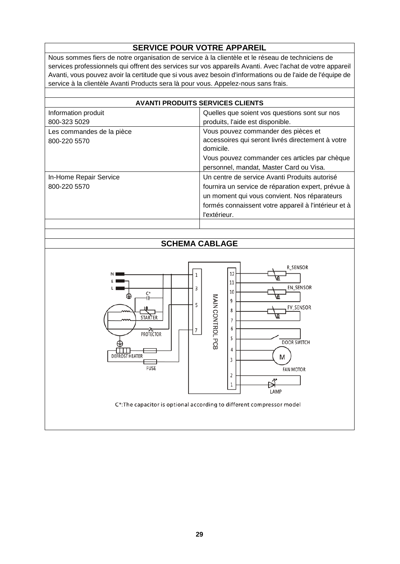# **SERVICE POUR VOTRE APPAREIL**

Nous sommes fiers de notre organisation de service à la clientèle et le réseau de techniciens de services professionnels qui offrent des services sur vos appareils Avanti. Avec l'achat de votre appareil Avanti, vous pouvez avoir la certitude que si vous avez besoin d'informations ou de l'aide de l'équipe de service à la clientèle Avanti Products sera là pour vous. Appelez-nous sans frais.

| <b>AVANTI PRODUITS SERVICES CLIENTS</b>   |                                                                                                                                                                                                                             |  |
|-------------------------------------------|-----------------------------------------------------------------------------------------------------------------------------------------------------------------------------------------------------------------------------|--|
| Information produit                       | Quelles que soient vos questions sont sur nos                                                                                                                                                                               |  |
| 800-323 5029                              | produits, l'aide est disponible.                                                                                                                                                                                            |  |
| Les commandes de la pièce<br>800-220 5570 | Vous pouvez commander des pièces et<br>accessoires qui seront livrés directement à votre<br>domicile.                                                                                                                       |  |
|                                           | Vous pouvez commander ces articles par chèque<br>personnel, mandat, Master Card ou Visa.                                                                                                                                    |  |
| In-Home Repair Service<br>800-220 5570    | Un centre de service Avanti Produits autorisé<br>fournira un service de réparation expert, prévue à<br>un moment qui vous convient. Nos réparateurs<br>formés connaissent votre appareil à l'intérieur et à<br>l'extérieur. |  |
|                                           |                                                                                                                                                                                                                             |  |

## **SCHEMA CABLAGE**

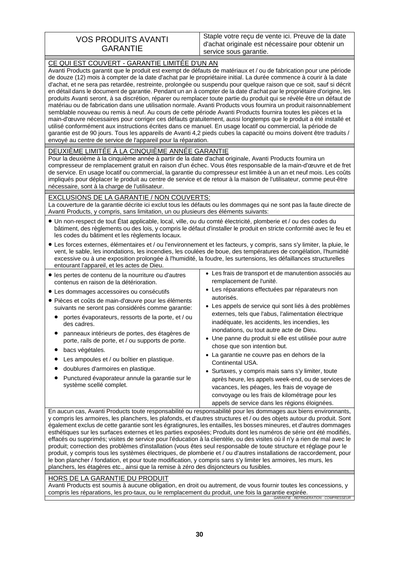## VOS PRODUITS AVANTI GARANTIE

Staple votre reçu de vente ici. Preuve de la date d'achat originale est nécessaire pour obtenir un service sous garantie.

| CE QUI EST COUVERT - GARANTIE LIMITÉE D'UN AN<br>Avanti Products garantit que le produit est exempt de défauts de matériaux et / ou de fabrication pour une période<br>de douze (12) mois à compter de la date d'achat par le propriétaire initial. La durée commence à courir à la date<br>d'achat, et ne sera pas retardée, restreinte, prolongée ou suspendu pour quelque raison que ce soit, sauf si décrit<br>en détail dans le document de garantie. Pendant un an à compter de la date d'achat par le propriétaire d'origine, les<br>produits Avanti seront, à sa discrétion, réparer ou remplacer toute partie du produit qui se révèle être un défaut de<br>matériau ou de fabrication dans une utilisation normale. Avanti Products vous fournira un produit raisonnablement<br>semblable nouveau ou remis à neuf. Au cours de cette période Avanti Products fournira toutes les pièces et la<br>main-d'œuvre nécessaires pour corriger ces défauts gratuitement, aussi longtemps que le produit a été installé et<br>utilisé conformément aux instructions écrites dans ce manuel. En usage locatif ou commercial, la période de<br>garantie est de 90 jours. Tous les appareils de Avanti 4,2 pieds cubes la capacité ou moins doivent être traduits /<br>envoyé au centre de service de l'appareil pour la réparation. |                                                                                                                                                                                                                                                                                                                                                                                                                                                                                                                                                                                                                                                                                                                                                                                                 |  |  |  |
|-------------------------------------------------------------------------------------------------------------------------------------------------------------------------------------------------------------------------------------------------------------------------------------------------------------------------------------------------------------------------------------------------------------------------------------------------------------------------------------------------------------------------------------------------------------------------------------------------------------------------------------------------------------------------------------------------------------------------------------------------------------------------------------------------------------------------------------------------------------------------------------------------------------------------------------------------------------------------------------------------------------------------------------------------------------------------------------------------------------------------------------------------------------------------------------------------------------------------------------------------------------------------------------------------------------------------------------|-------------------------------------------------------------------------------------------------------------------------------------------------------------------------------------------------------------------------------------------------------------------------------------------------------------------------------------------------------------------------------------------------------------------------------------------------------------------------------------------------------------------------------------------------------------------------------------------------------------------------------------------------------------------------------------------------------------------------------------------------------------------------------------------------|--|--|--|
| DEUXIEME LIMITÉE À LA CINQUIEME ANNEE GARANTIE<br>Pour la deuxième à la cinquième année à partir de la date d'achat originale, Avanti Products fournira un<br>compresseur de remplacement gratuit en raison d'un échec. Vous êtes responsable de la main-d'œuvre et de fret<br>de service. En usage locatif ou commercial, la garantie du compresseur est limitée à un an et neuf mois. Les coûts<br>impliqués pour déplacer le produit au centre de service et de retour à la maison de l'utilisateur, comme peut-être<br>nécessaire, sont à la charge de l'utilisateur.                                                                                                                                                                                                                                                                                                                                                                                                                                                                                                                                                                                                                                                                                                                                                           |                                                                                                                                                                                                                                                                                                                                                                                                                                                                                                                                                                                                                                                                                                                                                                                                 |  |  |  |
| EXCLUSIONS DE LA GARANTIE / NON COUVERTS:<br>La couverture de la garantie décrite ici exclut tous les défauts ou les dommages qui ne sont pas la faute directe de                                                                                                                                                                                                                                                                                                                                                                                                                                                                                                                                                                                                                                                                                                                                                                                                                                                                                                                                                                                                                                                                                                                                                                   |                                                                                                                                                                                                                                                                                                                                                                                                                                                                                                                                                                                                                                                                                                                                                                                                 |  |  |  |
| Avanti Products, y compris, sans limitation, un ou plusieurs des éléments suivants:<br>• Un non-respect de tout État applicable, local, ville, ou du comté électricité, plomberie et / ou des codes du<br>bâtiment, des règlements ou des lois, y compris le défaut d'installer le produit en stricte conformité avec le feu et<br>les codes du bâtiment et les règlements locaux.<br>• Les forces externes, élémentaires et / ou l'environnement et les facteurs, y compris, sans s'y limiter, la pluie, le<br>vent, le sable, les inondations, les incendies, les coulées de boue, des températures de congélation, l'humidité<br>excessive ou à une exposition prolongée à l'humidité, la foudre, les surtensions, les défaillances structurelles                                                                                                                                                                                                                                                                                                                                                                                                                                                                                                                                                                                |                                                                                                                                                                                                                                                                                                                                                                                                                                                                                                                                                                                                                                                                                                                                                                                                 |  |  |  |
| entourant l'appareil, et les actes de Dieu.<br>· les pertes de contenu de la nourriture ou d'autres<br>contenus en raison de la détérioration.<br>• Les dommages accessoires ou consécutifs<br>· Pièces et coûts de main-d'œuvre pour les éléments<br>suivants ne seront pas considérés comme garantie:<br>portes évaporateurs, ressorts de la porte, et / ou<br>des cadres.<br>panneaux intérieurs de portes, des étagères de<br>porte, rails de porte, et / ou supports de porte.<br>bacs végétales.<br>Les ampoules et / ou boîtier en plastique.<br>doublures d'armoires en plastique.<br>Punctured évaporateur annule la garantie sur le<br>système scellé complet.                                                                                                                                                                                                                                                                                                                                                                                                                                                                                                                                                                                                                                                            | • Les frais de transport et de manutention associés au<br>remplacement de l'unité.<br>• Les réparations effectuées par réparateurs non<br>autorisés.<br>• Les appels de service qui sont liés à des problèmes<br>externes, tels que l'abus, l'alimentation électrique<br>inadéquate, les accidents, les incendies, les<br>inondations, ou tout autre acte de Dieu.<br>• Une panne du produit si elle est utilisée pour autre<br>chose que son intention but.<br>· La garantie ne couvre pas en dehors de la<br>Continental USA.<br>• Surtaxes, y compris mais sans s'y limiter, toute<br>après heure, les appels week-end, ou de services de<br>vacances, les péages, les frais de voyage de<br>convoyage ou les frais de kilométrage pour les<br>appels de service dans les régions éloignées. |  |  |  |
| En aucun cas, Avanti Products toute responsabilité ou responsabilité pour les dommages aux biens environnants,<br>y compris les armoires, les planchers, les plafonds, et d'autres structures et / ou des objets autour du produit. Sont<br>également exclus de cette garantie sont les égratignures, les entailles, les bosses mineures, et d'autres dommages<br>esthétiques sur les surfaces externes et les parties exposées; Produits dont les numéros de série ont été modifiés,<br>effacés ou supprimés; visites de service pour l'éducation à la clientèle, ou des visites où il n'y a rien de mal avec le<br>produit; correction des problèmes d'installation (vous êtes seul responsable de toute structure et réglage pour le<br>produit, y compris tous les systèmes électriques, de plomberie et / ou d'autres installations de raccordement, pour<br>le bon plancher / fondation, et pour toute modification, y compris sans s'y limiter les armoires, les murs, les<br>planchers, les étagères etc., ainsi que la remise à zéro des disjoncteurs ou fusibles.                                                                                                                                                                                                                                                         |                                                                                                                                                                                                                                                                                                                                                                                                                                                                                                                                                                                                                                                                                                                                                                                                 |  |  |  |

#### <u>HORS DE LA GARANTIE DU PRODUIT</u>

Avanti Products est soumis à aucune obligation, en droit ou autrement, de vous fournir toutes les concessions, y compris les réparations, les pro-taux, ou le remplacement du produit, une fois la garantie expirée. *GARANTIE - REFRIGERATION - COMPRESSEUR*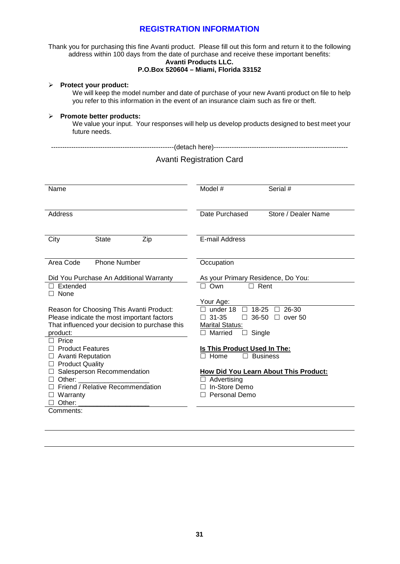### **REGISTRATION INFORMATION**

Thank you for purchasing this fine Avanti product. Please fill out this form and return it to the following address within 100 days from the date of purchase and receive these important benefits:

#### **Avanti Products LLC. P.O.Box 520604 – Miami, Florida 33152**

| Protect your product:<br>⋗<br>We will keep the model number and date of purchase of your new Avanti product on file to help<br>you refer to this information in the event of an insurance claim such as fire or theft. |                                                                                                                                                     |  |  |  |  |  |
|------------------------------------------------------------------------------------------------------------------------------------------------------------------------------------------------------------------------|-----------------------------------------------------------------------------------------------------------------------------------------------------|--|--|--|--|--|
| Promote better products:<br>We value your input. Your responses will help us develop products designed to best meet your<br>future needs.                                                                              |                                                                                                                                                     |  |  |  |  |  |
| <b>Avanti Registration Card</b>                                                                                                                                                                                        |                                                                                                                                                     |  |  |  |  |  |
| Name                                                                                                                                                                                                                   | Model #<br>Serial #                                                                                                                                 |  |  |  |  |  |
| Address                                                                                                                                                                                                                | Date Purchased<br>Store / Dealer Name                                                                                                               |  |  |  |  |  |
| City<br>State<br>Zip                                                                                                                                                                                                   | E-mail Address                                                                                                                                      |  |  |  |  |  |
| <b>Phone Number</b><br>Area Code                                                                                                                                                                                       | Occupation                                                                                                                                          |  |  |  |  |  |
| Did You Purchase An Additional Warranty<br>$\Box$ Extended<br>$\Box$ None                                                                                                                                              | As your Primary Residence, Do You:<br>$\Box$ Own<br>$\Box$ Rent                                                                                     |  |  |  |  |  |
| Reason for Choosing This Avanti Product:<br>Please indicate the most important factors<br>That influenced your decision to purchase this<br>product:<br>$\Box$ Price                                                   | Your Age:<br>□ under 18 □ 18-25 □ 26-30<br>$\Box$ 36-50 $\Box$ over 50<br>$\Box$ 31-35<br><b>Marital Status:</b><br>$\Box$ Married<br>$\Box$ Single |  |  |  |  |  |
| $\Box$ Product Features<br>□ Avanti Reputation<br>□ Product Quality                                                                                                                                                    | Is This Product Used In The:<br>$\Box$ Home<br>$\Box$ Business                                                                                      |  |  |  |  |  |
| □ Salesperson Recommendation<br>$\Box$ Other:<br>□ Friend / Relative Recommendation<br>$\Box$ Warranty<br>$\Box$ Other:                                                                                                | <b>How Did You Learn About This Product:</b><br>$\Box$ Advertising<br>□ In-Store Demo<br>□ Personal Demo                                            |  |  |  |  |  |
| Comments:                                                                                                                                                                                                              |                                                                                                                                                     |  |  |  |  |  |